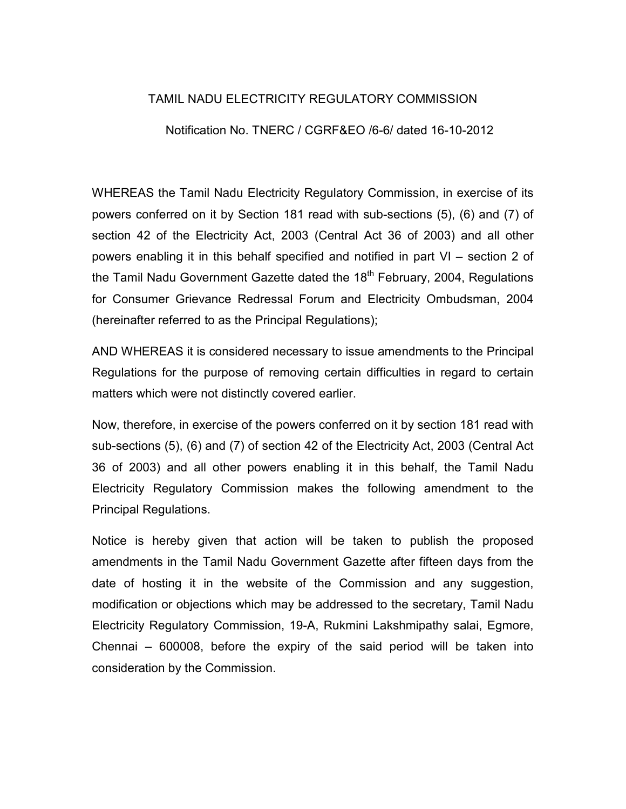# TAMIL NADU ELECTRICITY REGULATORY COMMISSION

## Notification No. TNERC / CGRF&EO /6-6/ dated 16-10-2012

WHEREAS the Tamil Nadu Electricity Regulatory Commission, in exercise of its powers conferred on it by Section 181 read with sub-sections (5), (6) and (7) of section 42 of the Electricity Act, 2003 (Central Act 36 of 2003) and all other powers enabling it in this behalf specified and notified in part VI – section 2 of the Tamil Nadu Government Gazette dated the 18<sup>th</sup> February, 2004, Regulations for Consumer Grievance Redressal Forum and Electricity Ombudsman, 2004 (hereinafter referred to as the Principal Regulations);

AND WHEREAS it is considered necessary to issue amendments to the Principal Regulations for the purpose of removing certain difficulties in regard to certain matters which were not distinctly covered earlier.

Now, therefore, in exercise of the powers conferred on it by section 181 read with sub-sections (5), (6) and (7) of section 42 of the Electricity Act, 2003 (Central Act 36 of 2003) and all other powers enabling it in this behalf, the Tamil Nadu Electricity Regulatory Commission makes the following amendment to the Principal Regulations.

Notice is hereby given that action will be taken to publish the proposed amendments in the Tamil Nadu Government Gazette after fifteen days from the date of hosting it in the website of the Commission and any suggestion, modification or objections which may be addressed to the secretary, Tamil Nadu Electricity Regulatory Commission, 19-A, Rukmini Lakshmipathy salai, Egmore, Chennai – 600008, before the expiry of the said period will be taken into consideration by the Commission.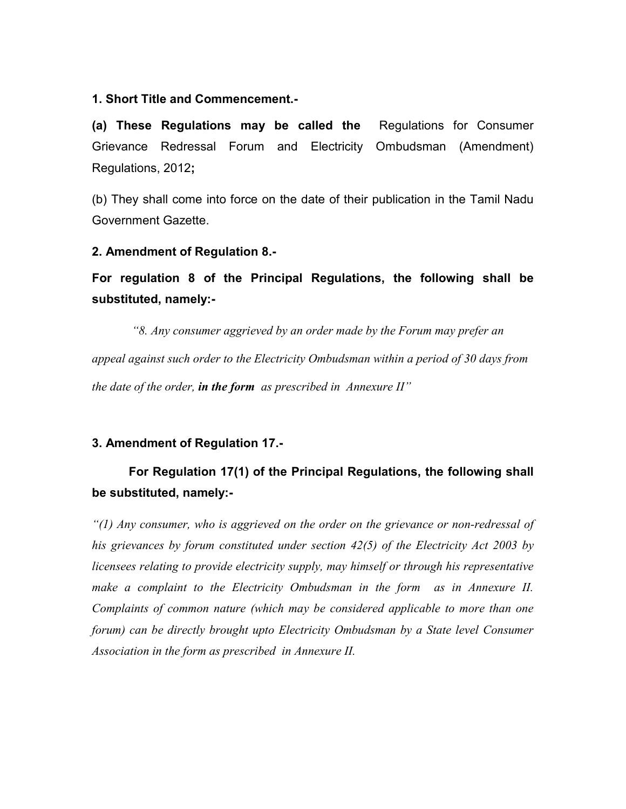### 1. Short Title and Commencement.-

(a) These Regulations may be called the Regulations for Consumer Grievance Redressal Forum and Electricity Ombudsman (Amendment) Regulations, 2012;

(b) They shall come into force on the date of their publication in the Tamil Nadu Government Gazette.

## 2. Amendment of Regulation 8.-

For regulation 8 of the Principal Regulations, the following shall be substituted, namely:-

 "8. Any consumer aggrieved by an order made by the Forum may prefer an appeal against such order to the Electricity Ombudsman within a period of 30 days from the date of the order, in the form as prescribed in Annexure  $II''$ 

## 3. Amendment of Regulation 17.-

# For Regulation 17(1) of the Principal Regulations, the following shall be substituted, namely:-

 $''(1)$  Any consumer, who is aggrieved on the order on the grievance or non-redressal of his grievances by forum constituted under section 42(5) of the Electricity Act 2003 by licensees relating to provide electricity supply, may himself or through his representative make a complaint to the Electricity Ombudsman in the form as in Annexure II. Complaints of common nature (which may be considered applicable to more than one forum) can be directly brought upto Electricity Ombudsman by a State level Consumer Association in the form as prescribed in Annexure II.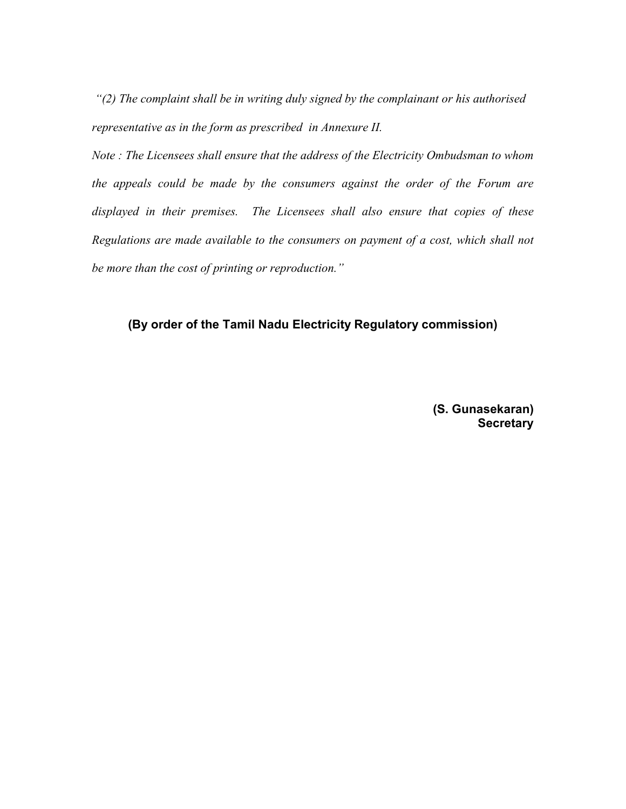"(2) The complaint shall be in writing duly signed by the complainant or his authorised representative as in the form as prescribed in Annexure II.

Note : The Licensees shall ensure that the address of the Electricity Ombudsman to whom the appeals could be made by the consumers against the order of the Forum are displayed in their premises. The Licensees shall also ensure that copies of these Regulations are made available to the consumers on payment of a cost, which shall not be more than the cost of printing or reproduction."

# (By order of the Tamil Nadu Electricity Regulatory commission)

 (S. Gunasekaran) **Secretary**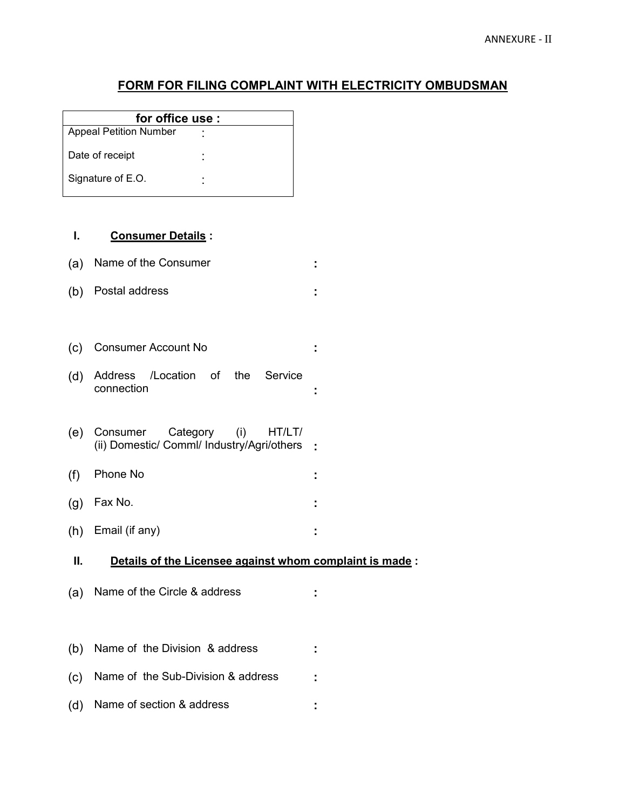# FORM FOR FILING COMPLAINT WITH ELECTRICITY OMBUDSMAN

| for office use:               |                |  |  |
|-------------------------------|----------------|--|--|
| <b>Appeal Petition Number</b> | ۰              |  |  |
| Date of receipt               | $\blacksquare$ |  |  |
| Signature of E.O.             | ۰<br>۰         |  |  |

#### I. Consumer Details :

| (a) Name of the Consumer |  |
|--------------------------|--|
| (b) Postal address       |  |

- (c) Consumer Account No :
- (d) Address /Location of the Service connection :
- (e) Consumer Category (i) HT/LT/ (ii) Domestic/ Comml/ Industry/Agri/others :
- (f) Phone No :
- (g) Fax No. :
- (h) Email (if any) :

#### II. Details of the Licensee against whom complaint is made:

- (a) Name of the Circle & address :
- (b) Name of the Division & address :
- (c) Name of the Sub-Division & address :
- (d) Name of section & address :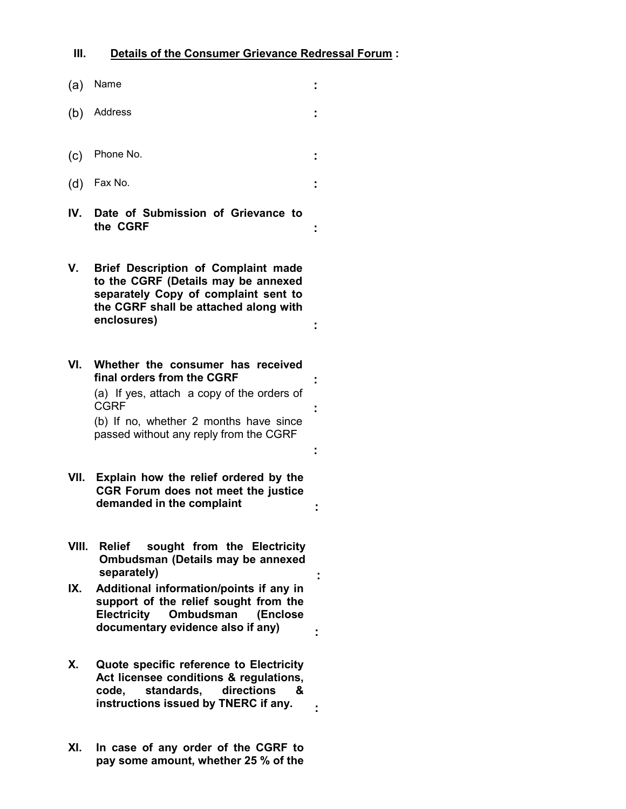- (a) Name : (b) Address : (c) Phone No. : (d) Fax No. : IV. Date of Submission of Grievance to the CGRF : V. Brief Description of Complaint made to the CGRF (Details may be annexed separately Copy of complaint sent to the CGRF shall be attached along with enclosures) : VI. Whether the consumer has received final orders from the CGRF (a) If yes, attach a copy of the orders of CGRF : the state of the state of the state of the state of the state of the state of the state of the state of the state of the state of the state of the state of the state of the state of the state of the state of the sta (b) If no, whether 2 months have since passed without any reply from the CGRF : VII. Explain how the relief ordered by the CGR Forum does not meet the justice demanded in the complaint  $\cdot$ VIII. Relief sought from the Electricity Ombudsman (Details may be annexed separately) and the separately of the separately  $\cdot$ IX. Additional information/points if any in support of the relief sought from the Electricity Ombudsman (Enclose documentary evidence also if any) X. Quote specific reference to Electricity Act licensee conditions & regulations,<br>code, standards, directions & standards, directions & instructions issued by TNERC if any. .
- XI. In case of any order of the CGRF to pay some amount, whether 25 % of the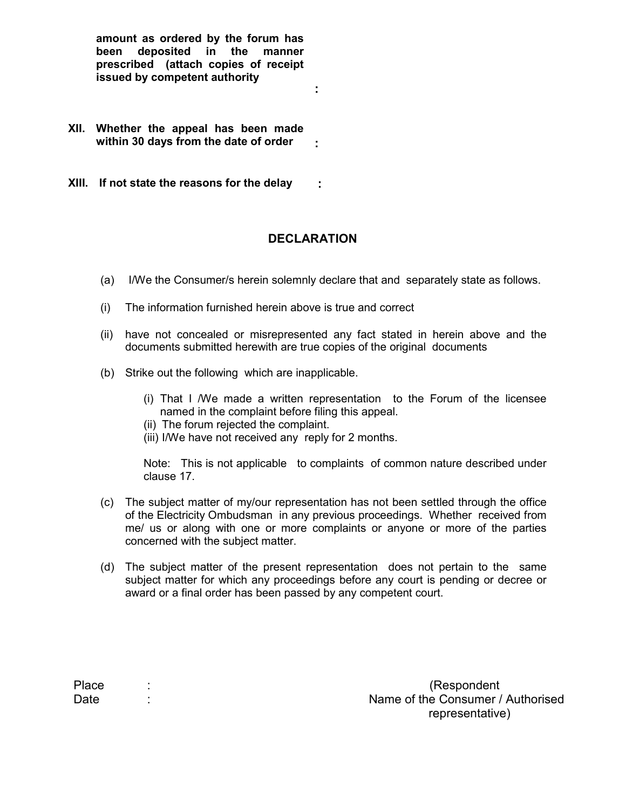amount as ordered by the forum has been deposited in the manner prescribed (attach copies of receipt issued by competent authority

- XII. Whether the appeal has been made within 30 days from the date of order  $\cdot$
- XIII. If not state the reasons for the delay :

# **DECLARATION**

:

- (a) I/We the Consumer/s herein solemnly declare that and separately state as follows.
- (i) The information furnished herein above is true and correct
- (ii) have not concealed or misrepresented any fact stated in herein above and the documents submitted herewith are true copies of the original documents
- (b) Strike out the following which are inapplicable.
	- (i) That I /We made a written representation to the Forum of the licensee named in the complaint before filing this appeal.
	- (ii) The forum rejected the complaint.
	- (iii) I/We have not received any reply for 2 months.

Note: This is not applicable to complaints of common nature described under clause 17.

- (c) The subject matter of my/our representation has not been settled through the office of the Electricity Ombudsman in any previous proceedings. Whether received from me/ us or along with one or more complaints or anyone or more of the parties concerned with the subject matter.
- (d) The subject matter of the present representation does not pertain to the same subject matter for which any proceedings before any court is pending or decree or award or a final order has been passed by any competent court.

| Place | (Respondent                       |
|-------|-----------------------------------|
| Date  | Name of the Consumer / Authorised |
|       | representative)                   |